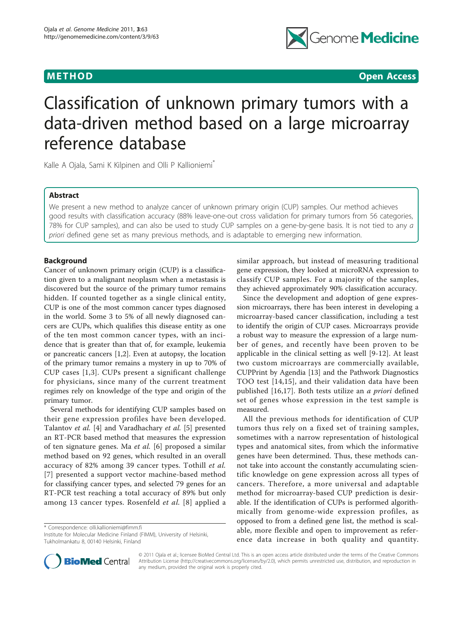

**METHOD CONSUMING ACCESS CONSUMING ACCESS** 

# Classification of unknown primary tumors with a data-driven method based on a large microarray reference database

Kalle A Ojala, Sami K Kilpinen and Olli P Kallioniemi<sup>\*</sup>

# Abstract

We present a new method to analyze cancer of unknown primary origin (CUP) samples. Our method achieves good results with classification accuracy (88% leave-one-out cross validation for primary tumors from 56 categories, 78% for CUP samples), and can also be used to study CUP samples on a gene-by-gene basis. It is not tied to any a priori defined gene set as many previous methods, and is adaptable to emerging new information.

# Background

Cancer of unknown primary origin (CUP) is a classification given to a malignant neoplasm when a metastasis is discovered but the source of the primary tumor remains hidden. If counted together as a single clinical entity, CUP is one of the most common cancer types diagnosed in the world. Some 3 to 5% of all newly diagnosed cancers are CUPs, which qualifies this disease entity as one of the ten most common cancer types, with an incidence that is greater than that of, for example, leukemia or pancreatic cancers [[1,2\]](#page-10-0). Even at autopsy, the location of the primary tumor remains a mystery in up to 70% of CUP cases [[1](#page-10-0),[3\]](#page-10-0). CUPs present a significant challenge for physicians, since many of the current treatment regimes rely on knowledge of the type and origin of the primary tumor.

Several methods for identifying CUP samples based on their gene expression profiles have been developed. Talantov et al. [\[4](#page-10-0)] and Varadhachary et al. [[5](#page-10-0)] presented an RT-PCR based method that measures the expression of ten signature genes. Ma et al. [[6\]](#page-10-0) proposed a similar method based on 92 genes, which resulted in an overall accuracy of 82% among 39 cancer types. Tothill et al. [[7](#page-10-0)] presented a support vector machine-based method for classifying cancer types, and selected 79 genes for an RT-PCR test reaching a total accuracy of 89% but only among 13 cancer types. Rosenfeld et al. [[8](#page-10-0)] applied a

\* Correspondence: [olli.kallioniemi@fimm.fi](mailto:olli.kallioniemi@fimm.fi)

Institute for Molecular Medicine Finland (FIMM), University of Helsinki, Tukholmankatu 8, 00140 Helsinki, Finland

similar approach, but instead of measuring traditional gene expression, they looked at microRNA expression to classify CUP samples. For a majority of the samples, they achieved approximately 90% classification accuracy.

Since the development and adoption of gene expression microarrays, there has been interest in developing a microarray-based cancer classification, including a test to identify the origin of CUP cases. Microarrays provide a robust way to measure the expression of a large number of genes, and recently have been proven to be applicable in the clinical setting as well [\[9](#page-10-0)-[12](#page-11-0)]. At least two custom microarrays are commercially available, CUPPrint by Agendia [[13](#page-11-0)] and the Pathwork Diagnostics TOO test [[14](#page-11-0),[15\]](#page-11-0), and their validation data have been published [[16,17\]](#page-11-0). Both tests utilize an a priori defined set of genes whose expression in the test sample is measured.

All the previous methods for identification of CUP tumors thus rely on a fixed set of training samples, sometimes with a narrow representation of histological types and anatomical sites, from which the informative genes have been determined. Thus, these methods cannot take into account the constantly accumulating scientific knowledge on gene expression across all types of cancers. Therefore, a more universal and adaptable method for microarray-based CUP prediction is desirable. If the identification of CUPs is performed algorithmically from genome-wide expression profiles, as opposed to from a defined gene list, the method is scalable, more flexible and open to improvement as reference data increase in both quality and quantity.



© 2011 Ojala et al.; licensee BioMed Central Ltd. This is an open access article distributed under the terms of the Creative Commons Attribution License [\(http://creativecommons.org/licenses/by/2.0](http://creativecommons.org/licenses/by/2.0)), which permits unrestricted use, distribution, and reproduction in any medium, provided the original work is properly cited.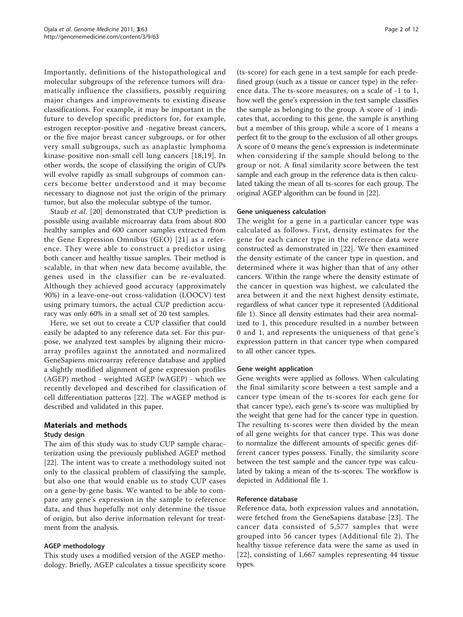Importantly, definitions of the histopathological and molecular subgroups of the reference tumors will dramatically influence the classifiers, possibly requiring major changes and improvements to existing disease classifications. For example, it may be important in the future to develop specific predictors for, for example, estrogen receptor-positive and -negative breast cancers, or the five major breast cancer subgroups, or for other very small subgroups, such as anaplastic lymphoma kinase-positive non-small cell lung cancers [[18,19](#page-11-0)]. In other words, the scope of classifying the origin of CUPs will evolve rapidly as small subgroups of common cancers become better understood and it may become necessary to diagnose not just the origin of the primary tumor, but also the molecular subtype of the tumor.

Staub et al. [[20\]](#page-11-0) demonstrated that CUP prediction is possible using available microarray data from about 800 healthy samples and 600 cancer samples extracted from the Gene Expression Omnibus (GEO) [[21](#page-11-0)] as a reference. They were able to construct a predictor using both cancer and healthy tissue samples. Their method is scalable, in that when new data become available, the genes used in the classifier can be re-evaluated. Although they achieved good accuracy (approximately 90%) in a leave-one-out cross-validation (LOOCV) test using primary tumors, the actual CUP prediction accuracy was only 60% in a small set of 20 test samples.

Here, we set out to create a CUP classifier that could easily be adapted to any reference data set. For this purpose, we analyzed test samples by aligning their microarray profiles against the annotated and normalized GeneSapiens microarray reference database and applied a slightly modified alignment of gene expression profiles (AGEP) method - weighted AGEP (wAGEP) - which we recently developed and described for classification of cell differentiation patterns [[22](#page-11-0)]. The wAGEP method is described and validated in this paper.

# Materials and methods

# Study design

The aim of this study was to study CUP sample characterization using the previously published AGEP method [[22\]](#page-11-0). The intent was to create a methodology suited not only to the classical problem of classifying the sample, but also one that would enable us to study CUP cases on a gene-by-gene basis. We wanted to be able to compare any gene's expression in the sample to reference data, and thus hopefully not only determine the tissue of origin, but also derive information relevant for treatment from the analysis.

# AGEP methodology

This study uses a modified version of the AGEP methodology. Briefly, AGEP calculates a tissue specificity score

(ts-score) for each gene in a test sample for each predefined group (such as a tissue or cancer type) in the reference data. The ts-score measures, on a scale of -1 to 1, how well the gene's expression in the test sample classifies the sample as belonging to the group. A score of -1 indicates that, according to this gene, the sample is anything but a member of this group, while a score of 1 means a perfect fit to the group to the exclusion of all other groups. A score of 0 means the gene's expression is indeterminate when considering if the sample should belong to the group or not. A final similarity score between the test sample and each group in the reference data is then calculated taking the mean of all ts-scores for each group. The original AGEP algorithm can be found in [\[22](#page-11-0)].

#### Gene uniqueness calculation

The weight for a gene in a particular cancer type was calculated as follows. First, density estimates for the gene for each cancer type in the reference data were constructed as demonstrated in [[22](#page-11-0)]. We then examined the density estimate of the cancer type in question, and determined where it was higher than that of any other cancers. Within the range where the density estimate of the cancer in question was highest, we calculated the area between it and the next highest density estimate, regardless of what cancer type it represented (Additional file [1](#page-10-0)). Since all density estimates had their area normalized to 1, this procedure resulted in a number between 0 and 1, and represents the uniqueness of that gene's expression pattern in that cancer type when compared to all other cancer types.

#### Gene weight application

Gene weights were applied as follows. When calculating the final similarity score between a test sample and a cancer type (mean of the ts-scores for each gene for that cancer type), each gene's ts-score was multiplied by the weight that gene had for the cancer type in question. The resulting ts-scores were then divided by the mean of all gene weights for that cancer type. This was done to normalize the different amounts of specific genes different cancer types possess. Finally, the similarity score between the test sample and the cancer type was calculated by taking a mean of the ts-scores. The workflow is depicted in Additional file [1](#page-10-0).

#### Reference database

Reference data, both expression values and annotation, were fetched from the GeneSapiens database [[23\]](#page-11-0). The cancer data consisted of 5,577 samples that were grouped into 56 cancer types (Additional file [2](#page-10-0)). The healthy tissue reference data were the same as used in [[22](#page-11-0)], consisting of 1,667 samples representing 44 tissue types.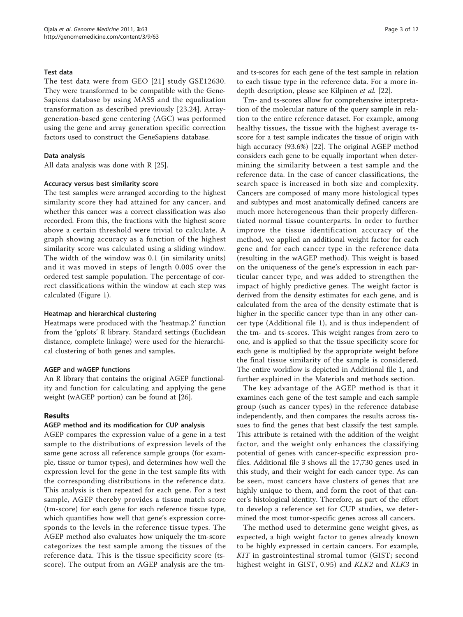#### Test data

The test data were from GEO [[21\]](#page-11-0) study GSE12630. They were transformed to be compatible with the Gene-Sapiens database by using MAS5 and the equalization transformation as described previously [[23,24\]](#page-11-0). Arraygeneration-based gene centering (AGC) was performed using the gene and array generation specific correction factors used to construct the GeneSapiens database.

#### Data analysis

All data analysis was done with R [[25](#page-11-0)].

#### Accuracy versus best similarity score

The test samples were arranged according to the highest similarity score they had attained for any cancer, and whether this cancer was a correct classification was also recorded. From this, the fractions with the highest score above a certain threshold were trivial to calculate. A graph showing accuracy as a function of the highest similarity score was calculated using a sliding window. The width of the window was 0.1 (in similarity units) and it was moved in steps of length 0.005 over the ordered test sample population. The percentage of correct classifications within the window at each step was calculated (Figure [1](#page-3-0)).

#### Heatmap and hierarchical clustering

Heatmaps were produced with the 'heatmap.2' function from the 'gplots' R library. Standard settings (Euclidean distance, complete linkage) were used for the hierarchical clustering of both genes and samples.

# AGEP and wAGEP functions

An R library that contains the original AGEP functionality and function for calculating and applying the gene weight (wAGEP portion) can be found at [[26](#page-11-0)].

#### Results

#### AGEP method and its modification for CUP analysis

AGEP compares the expression value of a gene in a test sample to the distributions of expression levels of the same gene across all reference sample groups (for example, tissue or tumor types), and determines how well the expression level for the gene in the test sample fits with the corresponding distributions in the reference data. This analysis is then repeated for each gene. For a test sample, AGEP thereby provides a tissue match score (tm-score) for each gene for each reference tissue type, which quantifies how well that gene's expression corresponds to the levels in the reference tissue types. The AGEP method also evaluates how uniquely the tm-score categorizes the test sample among the tissues of the reference data. This is the tissue specificity score (tsscore). The output from an AGEP analysis are the tmand ts-scores for each gene of the test sample in relation to each tissue type in the reference data. For a more indepth description, please see Kilpinen et al. [\[22\]](#page-11-0).

Tm- and ts-scores allow for comprehensive interpretation of the molecular nature of the query sample in relation to the entire reference dataset. For example, among healthy tissues, the tissue with the highest average tsscore for a test sample indicates the tissue of origin with high accuracy (93.6%) [[22\]](#page-11-0). The original AGEP method considers each gene to be equally important when determining the similarity between a test sample and the reference data. In the case of cancer classifications, the search space is increased in both size and complexity. Cancers are composed of many more histological types and subtypes and most anatomically defined cancers are much more heterogeneous than their properly differentiated normal tissue counterparts. In order to further improve the tissue identification accuracy of the method, we applied an additional weight factor for each gene and for each cancer type in the reference data (resulting in the wAGEP method). This weight is based on the uniqueness of the gene's expression in each particular cancer type, and was added to strengthen the impact of highly predictive genes. The weight factor is derived from the density estimates for each gene, and is calculated from the area of the density estimate that is higher in the specific cancer type than in any other cancer type (Additional file [1](#page-10-0)), and is thus independent of the tm- and ts-scores. This weight ranges from zero to one, and is applied so that the tissue specificity score for each gene is multiplied by the appropriate weight before the final tissue similarity of the sample is considered. The entire workflow is depicted in Additional file [1](#page-10-0), and further explained in the Materials and methods section.

The key advantage of the AGEP method is that it examines each gene of the test sample and each sample group (such as cancer types) in the reference database independently, and then compares the results across tissues to find the genes that best classify the test sample. This attribute is retained with the addition of the weight factor, and the weight only enhances the classifying potential of genes with cancer-specific expression profiles. Additional file [3](#page-10-0) shows all the 17,730 genes used in this study, and their weight for each cancer type. As can be seen, most cancers have clusters of genes that are highly unique to them, and form the root of that cancer's histological identity. Therefore, as part of the effort to develop a reference set for CUP studies, we determined the most tumor-specific genes across all cancers.

The method used to determine gene weight gives, as expected, a high weight factor to genes already known to be highly expressed in certain cancers. For example, KIT in gastrointestinal stromal tumor (GIST; second highest weight in GIST, 0.95) and KLK2 and KLK3 in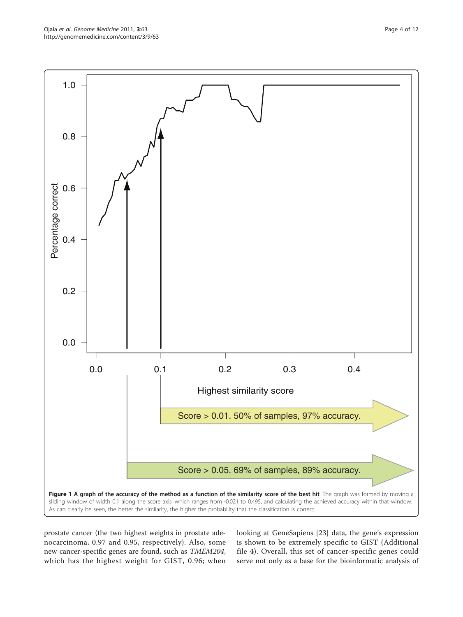<span id="page-3-0"></span>

prostate cancer (the two highest weights in prostate adenocarcinoma, 0.97 and 0.95, respectively). Also, some new cancer-specific genes are found, such as TMEM204, which has the highest weight for GIST, 0.96; when looking at GeneSapiens [[23\]](#page-11-0) data, the gene's expression is shown to be extremely specific to GIST (Additional file [4\)](#page-10-0). Overall, this set of cancer-specific genes could serve not only as a base for the bioinformatic analysis of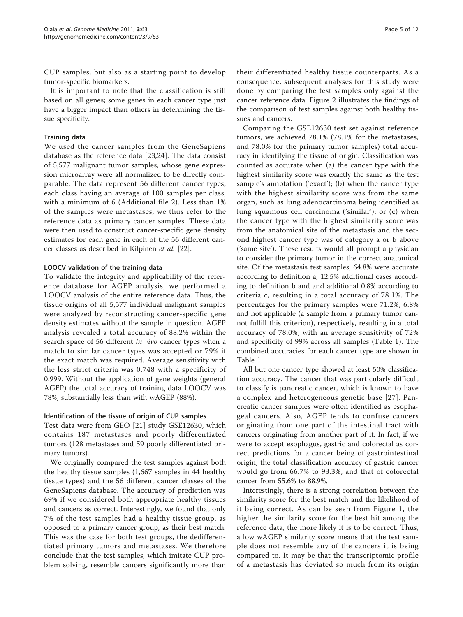CUP samples, but also as a starting point to develop tumor-specific biomarkers.

It is important to note that the classification is still based on all genes; some genes in each cancer type just have a bigger impact than others in determining the tissue specificity.

# Training data

We used the cancer samples from the GeneSapiens database as the reference data [[23,24](#page-11-0)]. The data consist of 5,577 malignant tumor samples, whose gene expression microarray were all normalized to be directly comparable. The data represent 56 different cancer types, each class having an average of 100 samples per class, with a minimum of 6 (Additional file [2](#page-10-0)). Less than 1% of the samples were metastases; we thus refer to the reference data as primary cancer samples. These data were then used to construct cancer-specific gene density estimates for each gene in each of the 56 different cancer classes as described in Kilpinen et al. [[22](#page-11-0)].

#### LOOCV validation of the training data

To validate the integrity and applicability of the reference database for AGEP analysis, we performed a LOOCV analysis of the entire reference data. Thus, the tissue origins of all 5,577 individual malignant samples were analyzed by reconstructing cancer-specific gene density estimates without the sample in question. AGEP analysis revealed a total accuracy of 88.2% within the search space of 56 different *in vivo* cancer types when a match to similar cancer types was accepted or 79% if the exact match was required. Average sensitivity with the less strict criteria was 0.748 with a specificity of 0.999. Without the application of gene weights (general AGEP) the total accuracy of training data LOOCV was 78%, substantially less than with wAGEP (88%).

### Identification of the tissue of origin of CUP samples

Test data were from GEO [[21](#page-11-0)] study GSE12630, which contains 187 metastases and poorly differentiated tumors (128 metastases and 59 poorly differentiated primary tumors).

We originally compared the test samples against both the healthy tissue samples (1,667 samples in 44 healthy tissue types) and the 56 different cancer classes of the GeneSapiens database. The accuracy of prediction was 69% if we considered both appropriate healthy tissues and cancers as correct. Interestingly, we found that only 7% of the test samples had a healthy tissue group, as opposed to a primary cancer group, as their best match. This was the case for both test groups, the dedifferentiated primary tumors and metastases. We therefore conclude that the test samples, which imitate CUP problem solving, resemble cancers significantly more than

their differentiated healthy tissue counterparts. As a consequence, subsequent analyses for this study were done by comparing the test samples only against the cancer reference data. Figure [2](#page-5-0) illustrates the findings of the comparison of test samples against both healthy tissues and cancers.

Comparing the GSE12630 test set against reference tumors, we achieved 78.1% (78.1% for the metastases, and 78.0% for the primary tumor samples) total accuracy in identifying the tissue of origin. Classification was counted as accurate when (a) the cancer type with the highest similarity score was exactly the same as the test sample's annotation ('exact'); (b) when the cancer type with the highest similarity score was from the same organ, such as lung adenocarcinoma being identified as lung squamous cell carcinoma ('similar'); or (c) when the cancer type with the highest similarity score was from the anatomical site of the metastasis and the second highest cancer type was of category a or b above ('same site'). These results would all prompt a physician to consider the primary tumor in the correct anatomical site. Of the metastasis test samples, 64.8% were accurate according to definition a, 12.5% additional cases according to definition b and and additional 0.8% according to criteria c, resulting in a total accuracy of 78.1%. The percentages for the primary samples were 71.2%, 6.8% and not applicable (a sample from a primary tumor cannot fulfill this criterion), respectively, resulting in a total accuracy of 78.0%, with an average sensitivity of 72% and specificity of 99% across all samples (Table [1](#page-6-0)). The combined accuracies for each cancer type are shown in Table [1.](#page-6-0)

All but one cancer type showed at least 50% classification accuracy. The cancer that was particularly difficult to classify is pancreatic cancer, which is known to have a complex and heterogeneous genetic base [[27](#page-11-0)]. Pancreatic cancer samples were often identified as esophageal cancers. Also, AGEP tends to confuse cancers originating from one part of the intestinal tract with cancers originating from another part of it. In fact, if we were to accept esophagus, gastric and colorectal as correct predictions for a cancer being of gastrointestinal origin, the total classification accuracy of gastric cancer would go from 66.7% to 93.3%, and that of colorectal cancer from 55.6% to 88.9%.

Interestingly, there is a strong correlation between the similarity score for the best match and the likelihood of it being correct. As can be seen from Figure [1](#page-3-0), the higher the similarity score for the best hit among the reference data, the more likely it is to be correct. Thus, a low wAGEP similarity score means that the test sample does not resemble any of the cancers it is being compared to. It may be that the transcriptomic profile of a metastasis has deviated so much from its origin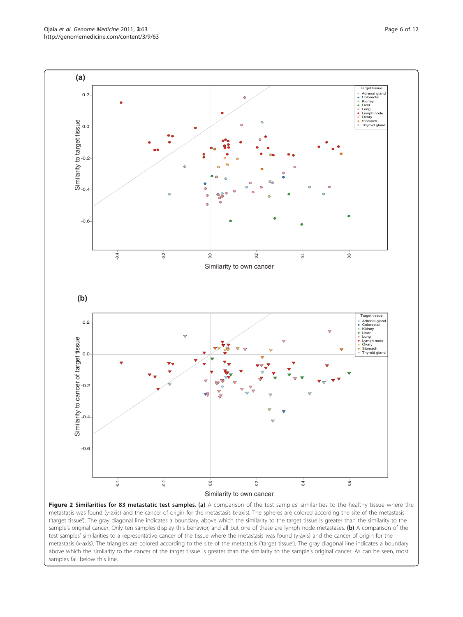<span id="page-5-0"></span>Ojala et al. Genome Medicine 2011, 3:63 http://genomemedicine.com/content/3/9/63



Figure 2 Similarities for 83 metastatic test samples. (a) A comparison of the test samples' similarities to the healthy tissue where the metastasis was found (y-axis) and the cancer of origin for the metastasis (x-axis). The spheres are colored according the site of the metastasis ('target tissue'). The gray diagonal line indicates a boundary, above which the similarity to the target tissue is greater than the similarity to the sample's original cancer. Only ten samples display this behavior, and all but one of these are lymph node metastases. (b) A comparison of the test samples' similarities to a representative cancer of the tissue where the metastasis was found (y-axis) and the cancer of origin for the metastasis (x-axis). The triangles are colored according to the site of the metastasis ('target tissue'). The gray diagonal line indicates a boundary above which the similarity to the cancer of the target tissue is greater than the similarity to the sample's original cancer. As can be seen, most samples fall below this line.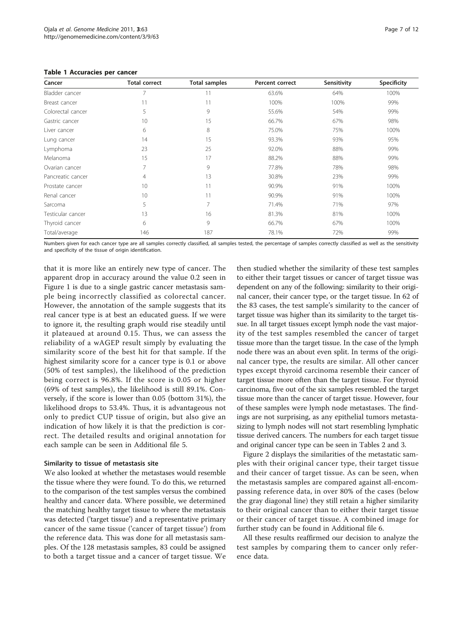<span id="page-6-0"></span>Table 1 Accuracies per cancer

| Cancer            | <b>Total correct</b> | <b>Total samples</b> | Percent correct | Sensitivity | <b>Specificity</b> |
|-------------------|----------------------|----------------------|-----------------|-------------|--------------------|
| Bladder cancer    | $\overline{7}$       | 11                   | 63.6%           | 64%         | 100%               |
| Breast cancer     | 11                   | 11                   | 100%            | 100%        | 99%                |
| Colorectal cancer | 5                    | 9                    | 55.6%           | 54%         | 99%                |
| Gastric cancer    | 10                   | 15                   | 66.7%           | 67%         | 98%                |
| Liver cancer      | 6                    | 8                    | 75.0%           | 75%         | 100%               |
| Lung cancer       | 14                   | 15                   | 93.3%           | 93%         | 95%                |
| Lymphoma          | 23                   | 25                   | 92.0%           | 88%         | 99%                |
| Melanoma          | 15                   | 17                   | 88.2%           | 88%         | 99%                |
| Ovarian cancer    | 7                    | 9                    | 77.8%           | 78%         | 98%                |
| Pancreatic cancer | 4                    | 13                   | 30.8%           | 23%         | 99%                |
| Prostate cancer   | 10                   | 11                   | 90.9%           | 91%         | 100%               |
| Renal cancer      | 10                   | 11                   | 90.9%           | 91%         | 100%               |
| Sarcoma           | 5                    | 7                    | 71.4%           | 71%         | 97%                |
| Testicular cancer | 13                   | 16                   | 81.3%           | 81%         | 100%               |
| Thyroid cancer    | 6                    | 9                    | 66.7%           | 67%         | 100%               |
| Total/average     | 146                  | 187                  | 78.1%           | 72%         | 99%                |

Numbers given for each cancer type are all samples correctly classified, all samples tested, the percentage of samples correctly classified as well as the sensitivity and specificity of the tissue of origin identification.

that it is more like an entirely new type of cancer. The apparent drop in accuracy around the value 0.2 seen in Figure [1](#page-3-0) is due to a single gastric cancer metastasis sample being incorrectly classified as colorectal cancer. However, the annotation of the sample suggests that its real cancer type is at best an educated guess. If we were to ignore it, the resulting graph would rise steadily until it plateaued at around 0.15. Thus, we can assess the reliability of a wAGEP result simply by evaluating the similarity score of the best hit for that sample. If the highest similarity score for a cancer type is 0.1 or above (50% of test samples), the likelihood of the prediction being correct is 96.8%. If the score is 0.05 or higher (69% of test samples), the likelihood is still 89.1%. Conversely, if the score is lower than 0.05 (bottom 31%), the likelihood drops to 53.4%. Thus, it is advantageous not only to predict CUP tissue of origin, but also give an indication of how likely it is that the prediction is correct. The detailed results and original annotation for each sample can be seen in Additional file [5](#page-10-0).

#### Similarity to tissue of metastasis site

We also looked at whether the metastases would resemble the tissue where they were found. To do this, we returned to the comparison of the test samples versus the combined healthy and cancer data. Where possible, we determined the matching healthy target tissue to where the metastasis was detected ('target tissue') and a representative primary cancer of the same tissue ('cancer of target tissue') from the reference data. This was done for all metastasis samples. Of the 128 metastasis samples, 83 could be assigned to both a target tissue and a cancer of target tissue. We then studied whether the similarity of these test samples to either their target tissues or cancer of target tissue was dependent on any of the following: similarity to their original cancer, their cancer type, or the target tissue. In 62 of the 83 cases, the test sample's similarity to the cancer of target tissue was higher than its similarity to the target tissue. In all target tissues except lymph node the vast majority of the test samples resembled the cancer of target tissue more than the target tissue. In the case of the lymph node there was an about even split. In terms of the original cancer type, the results are similar. All other cancer types except thyroid carcinoma resemble their cancer of target tissue more often than the target tissue. For thyroid carcinoma, five out of the six samples resembled the target tissue more than the cancer of target tissue. However, four of these samples were lymph node metastases. The findings are not surprising, as any epithelial tumors metastasizing to lymph nodes will not start resembling lymphatic tissue derived cancers. The numbers for each target tissue and original cancer type can be seen in Tables [2](#page-7-0) and [3.](#page-7-0)

Figure [2](#page-5-0) displays the similarities of the metastatic samples with their original cancer type, their target tissue and their cancer of target tissue. As can be seen, when the metastasis samples are compared against all-encompassing reference data, in over 80% of the cases (below the gray diagonal line) they still retain a higher similarity to their original cancer than to either their target tissue or their cancer of target tissue. A combined image for further study can be found in Additional file [6](#page-10-0).

All these results reaffirmed our decision to analyze the test samples by comparing them to cancer only reference data.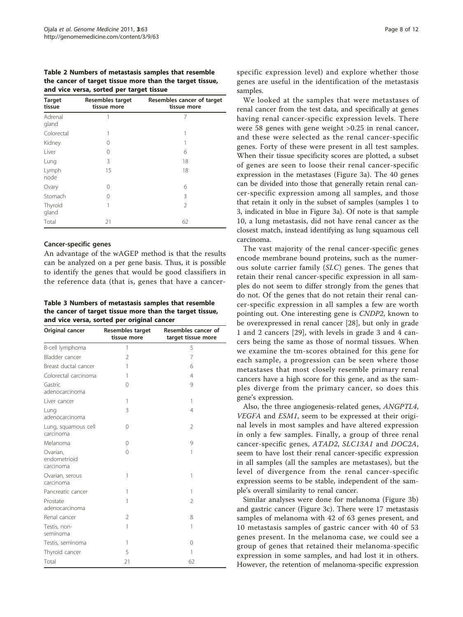<span id="page-7-0"></span>Table 2 Numbers of metastasis samples that resemble the cancer of target tissue more than the target tissue, and vice versa, sorted per target tissue

|                         | -                               |                                           |
|-------------------------|---------------------------------|-------------------------------------------|
| <b>Target</b><br>tissue | Resembles target<br>tissue more | Resembles cancer of target<br>tissue more |
| Adrenal<br>gland        |                                 | 7                                         |
| Colorectal              | 1                               |                                           |
| Kidney                  | 0                               |                                           |
| Liver                   | 0                               | 6                                         |
| Lung                    | 3                               | 18                                        |
| Lymph<br>node           | 15                              | 18                                        |
| Ovary                   | 0                               | 6                                         |
| Stomach                 | 0                               | 3                                         |
| Thyroid<br>gland        | 1                               | $\mathfrak{D}$                            |
| Total                   | 21                              | 62                                        |

#### Cancer-specific genes

An advantage of the wAGEP method is that the results can be analyzed on a per gene basis. Thus, it is possible to identify the genes that would be good classifiers in the reference data (that is, genes that have a cancer-

| Table 3 Numbers of metastasis samples that resemble      |  |  |  |  |  |
|----------------------------------------------------------|--|--|--|--|--|
| the cancer of target tissue more than the target tissue, |  |  |  |  |  |
| and vice versa, sorted per original cancer               |  |  |  |  |  |

| Original cancer                       | Resembles target<br>tissue more | Resembles cancer of<br>target tissue more |
|---------------------------------------|---------------------------------|-------------------------------------------|
| B-cell lymphoma                       | 1                               | 5                                         |
| Bladder cancer                        | $\mathfrak{D}$                  | 7                                         |
| Breast ductal cancer                  | 1                               | 6                                         |
| Colorectal carcinoma                  | 1                               | $\overline{4}$                            |
| Gastric<br>adenocarcinoma             | $\Omega$                        | 9                                         |
| Liver cancer                          | 1                               | 1                                         |
| Lung<br>adenocarcinoma                | 3                               | $\overline{4}$                            |
| Lung, squamous cell<br>carcinoma      | 0                               | $\overline{2}$                            |
| Melanoma                              | 0                               | 9                                         |
| Ovarian,<br>endometrioid<br>carcinoma | 0                               | 1                                         |
| Ovarian, serous<br>carcinoma          | 1                               | 1                                         |
| Pancreatic cancer                     | 1                               | 1                                         |
| Prostate<br>adenocarcinoma            | 1                               | 2                                         |
| Renal cancer                          | $\overline{2}$                  | 8                                         |
| Testis, non-<br>seminoma              | 1                               | 1                                         |
| Testis, seminoma                      | 1                               | 0                                         |
| Thyroid cancer                        | 5                               | 1                                         |
| Total                                 | 21                              | 62                                        |

specific expression level) and explore whether those genes are useful in the identification of the metastasis samples.

We looked at the samples that were metastases of renal cancer from the test data, and specifically at genes having renal cancer-specific expression levels. There were 58 genes with gene weight >0.25 in renal cancer, and these were selected as the renal cancer-specific genes. Forty of these were present in all test samples. When their tissue specificity scores are plotted, a subset of genes are seen to loose their renal cancer-specific expression in the metastases (Figure [3a\)](#page-8-0). The 40 genes can be divided into those that generally retain renal cancer-specific expression among all samples, and those that retain it only in the subset of samples (samples 1 to 3, indicated in blue in Figure [3a](#page-8-0)). Of note is that sample 10, a lung metastasis, did not have renal cancer as the closest match, instead identifying as lung squamous cell carcinoma.

The vast majority of the renal cancer-specific genes encode membrane bound proteins, such as the numerous solute carrier family (SLC) genes. The genes that retain their renal cancer-specific expression in all samples do not seem to differ strongly from the genes that do not. Of the genes that do not retain their renal cancer-specific expression in all samples a few are worth pointing out. One interesting gene is CNDP2, known to be overexpressed in renal cancer [[28\]](#page-11-0), but only in grade 1 and 2 cancers [[29\]](#page-11-0), with levels in grade 3 and 4 cancers being the same as those of normal tissues. When we examine the tm-scores obtained for this gene for each sample, a progression can be seen where those metastases that most closely resemble primary renal cancers have a high score for this gene, and as the samples diverge from the primary cancer, so does this gene's expression.

Also, the three angiogenesis-related genes, ANGPTL4, VEGFA and ESM1, seem to be expressed at their original levels in most samples and have altered expression in only a few samples. Finally, a group of three renal cancer-specific genes, ATAD2, SLC13A1 and DOC2A, seem to have lost their renal cancer-specific expression in all samples (all the samples are metastases), but the level of divergence from the renal cancer-specific expression seems to be stable, independent of the sample's overall similarity to renal cancer.

Similar analyses were done for melanoma (Figure [3b](#page-8-0)) and gastric cancer (Figure [3c\)](#page-8-0). There were 17 metastasis samples of melanoma with 42 of 63 genes present, and 10 metastasis samples of gastric cancer with 40 of 53 genes present. In the melanoma case, we could see a group of genes that retained their melanoma-specific expression in some samples, and had lost it in others. However, the retention of melanoma-specific expression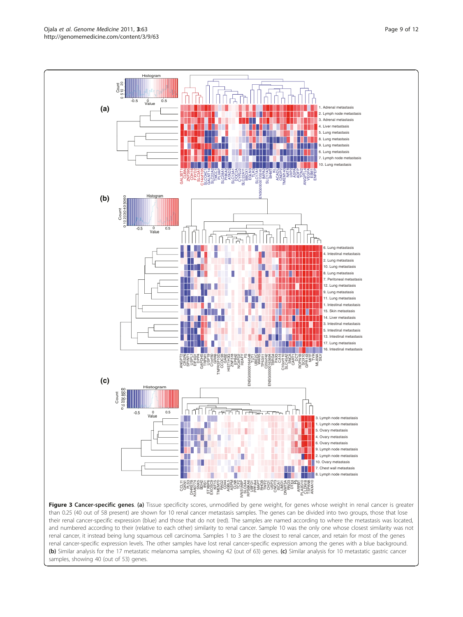Figure 3 Cancer-specific genes. (a) Tissue specificity scores, unmodified by gene weight, for genes whose weight in renal cancer is greater than 0.25 (40 out of 58 present) are shown for 10 renal cancer metastasis samples. The genes can be divided into two groups, those that lose their renal cancer-specific expression (blue) and those that do not (red). The samples are named according to where the metastasis was located, and numbered according to their (relative to each other) similarity to renal cancer. Sample 10 was the only one whose closest similarity was not renal cancer, it instead being lung squamous cell carcinoma. Samples 1 to 3 are the closest to renal cancer, and retain for most of the genes renal cancer-specific expression levels. The other samples have lost renal cancer-specific expression among the genes with a blue background. (b) Similar analysis for the 17 metastatic melanoma samples, showing 42 (out of 63) genes. (c) Similar analysis for 10 metastatic gastric cancer samples, showing 40 (out of 53) genes.

<span id="page-8-0"></span>Ojala et al. Genome Medicine 2011, 3:63 http://genomemedicine.com/content/3/9/63

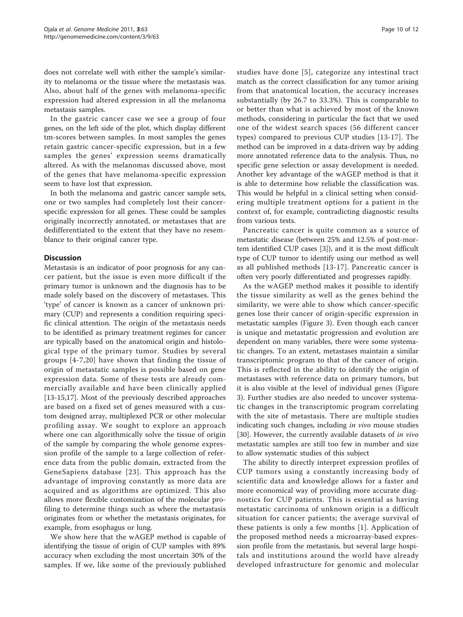does not correlate well with either the sample's similarity to melanoma or the tissue where the metastasis was. Also, about half of the genes with melanoma-specific expression had altered expression in all the melanoma metastasis samples.

In the gastric cancer case we see a group of four genes, on the left side of the plot, which display different tm-scores between samples. In most samples the genes retain gastric cancer-specific expression, but in a few samples the genes' expression seems dramatically altered. As with the melanomas discussed above, most of the genes that have melanoma-specific expression seem to have lost that expression.

In both the melanoma and gastric cancer sample sets, one or two samples had completely lost their cancerspecific expression for all genes. These could be samples originally incorrectly annotated, or metastases that are dedifferentiated to the extent that they have no resemblance to their original cancer type.

#### **Discussion**

Metastasis is an indicator of poor prognosis for any cancer patient, but the issue is even more difficult if the primary tumor is unknown and the diagnosis has to be made solely based on the discovery of metastases. This 'type' of cancer is known as a cancer of unknown primary (CUP) and represents a condition requiring specific clinical attention. The origin of the metastasis needs to be identified as primary treatment regimes for cancer are typically based on the anatomical origin and histological type of the primary tumor. Studies by several groups [[4](#page-10-0)-[7](#page-10-0),[20](#page-11-0)] have shown that finding the tissue of origin of metastatic samples is possible based on gene expression data. Some of these tests are already commercially available and have been clinically applied [[13-15,17](#page-11-0)]. Most of the previously described approaches are based on a fixed set of genes measured with a custom designed array, multiplexed PCR or other molecular profiling assay. We sought to explore an approach where one can algorithmically solve the tissue of origin of the sample by comparing the whole genome expression profile of the sample to a large collection of reference data from the public domain, extracted from the GeneSapiens database [[23\]](#page-11-0). This approach has the advantage of improving constantly as more data are acquired and as algorithms are optimized. This also allows more flexible customization of the molecular profiling to determine things such as where the metastasis originates from or whether the metastasis originates, for example, from esophagus or lung.

We show here that the wAGEP method is capable of identifying the tissue of origin of CUP samples with 89% accuracy when excluding the most uncertain 30% of the samples. If we, like some of the previously published studies have done [[5\]](#page-10-0), categorize any intestinal tract match as the correct classification for any tumor arising from that anatomical location, the accuracy increases substantially (by 26.7 to 33.3%). This is comparable to or better than what is achieved by most of the known methods, considering in particular the fact that we used one of the widest search spaces (56 different cancer types) compared to previous CUP studies [[13](#page-11-0)-[17\]](#page-11-0). The method can be improved in a data-driven way by adding more annotated reference data to the analysis. Thus, no specific gene selection or assay development is needed. Another key advantage of the wAGEP method is that it is able to determine how reliable the classification was. This would be helpful in a clinical setting when considering multiple treatment options for a patient in the context of, for example, contradicting diagnostic results from various tests.

Pancreatic cancer is quite common as a source of metastatic disease (between 25% and 12.5% of post-mortem identified CUP cases [[3](#page-10-0)]), and it is the most difficult type of CUP tumor to identify using our method as well as all published methods [[13](#page-11-0)-[17](#page-11-0)]. Pancreatic cancer is often very poorly differentiated and progresses rapidly.

As the wAGEP method makes it possible to identify the tissue similarity as well as the genes behind the similarity, we were able to show which cancer-specific genes lose their cancer of origin-specific expression in metastatic samples (Figure [3](#page-8-0)). Even though each cancer is unique and metastatic progression and evolution are dependent on many variables, there were some systematic changes. To an extent, metastases maintain a similar transcriptomic program to that of the cancer of origin. This is reflected in the ability to identify the origin of metastases with reference data on primary tumors, but it is also visible at the level of individual genes (Figure [3\)](#page-8-0). Further studies are also needed to uncover systematic changes in the transcriptomic program correlating with the site of metastasis. There are multiple studies indicating such changes, including in vivo mouse studies [[30\]](#page-11-0). However, the currently available datasets of in vivo metastatic samples are still too few in number and size to allow systematic studies of this subject

The ability to directly interpret expression profiles of CUP tumors using a constantly increasing body of scientific data and knowledge allows for a faster and more economical way of providing more accurate diagnostics for CUP patients. This is essential as having metastatic carcinoma of unknown origin is a difficult situation for cancer patients; the average survival of these patients is only a few months [\[1\]](#page-10-0). Application of the proposed method needs a microarray-based expression profile from the metastasis, but several large hospitals and institutions around the world have already developed infrastructure for genomic and molecular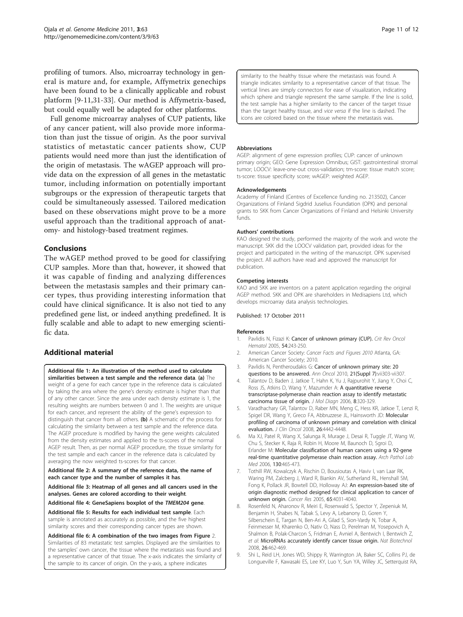<span id="page-10-0"></span>profiling of tumors. Also, microarray technology in general is mature and, for example, Affymetrix genechips have been found to be a clinically applicable and robust platform [9-[11](#page-11-0),[31-33](#page-11-0)]. Our method is Affymetrix-based, but could equally well be adapted for other platforms.

Full genome microarray analyses of CUP patients, like of any cancer patient, will also provide more information than just the tissue of origin. As the poor survival statistics of metastatic cancer patients show, CUP patients would need more than just the identification of the origin of metastasis. The wAGEP approach will provide data on the expression of all genes in the metastatic tumor, including information on potentially important subgroups or the expression of therapeutic targets that could be simultaneously assessed. Tailored medication based on these observations might prove to be a more useful approach than the traditional approach of anatomy- and histology-based treatment regimes.

#### Conclusions

The wAGEP method proved to be good for classifying CUP samples. More than that, however, it showed that it was capable of finding and analyzing differences between the metastasis samples and their primary cancer types, thus providing interesting information that could have clinical significance. It is also not tied to any predefined gene list, or indeed anything predefined. It is fully scalable and able to adapt to new emerging scientific data.

# Additional material

[Additional file 1: A](http://www.biomedcentral.com/content/supplementary/gm279-S1.EPS)n illustration of the method used to calculate similarities between a test sample and the reference data. (a) The weight of a gene for each cancer type in the reference data is calculated by taking the area where the gene's density estimate is higher than that of any other cancer. Since the area under each density estimate is 1, the resulting weights are numbers between 0 and 1. The weights are unique for each cancer, and represent the ability of the gene's expression to distinguish that cancer from all others. (b) A schematic of the process for calculating the similarity between a test sample and the reference data. The AGEP procedure is modified by having the gene weights calculated from the density estimates and applied to the ts-scores of the normal AGEP result. Then, as per normal AGEP procedure, the tissue similarity for the test sample and each cancer in the reference data is calculated by averaging the now weighted ts-scores for that cancer.

[Additional file 2: A](http://www.biomedcentral.com/content/supplementary/gm279-S2.XLS) summary of the reference data, the name of each cancer type and the number of samples it has.

[Additional file 3: H](http://www.biomedcentral.com/content/supplementary/gm279-S3.PNG)eatmap of all genes and all cancers used in the analyses. Genes are colored according to their weight.

[Additional file 4: G](http://www.biomedcentral.com/content/supplementary/gm279-S4.EPS)eneSapiens boxplot of the TMEM204 gene.

[Additional file 5: R](http://www.biomedcentral.com/content/supplementary/gm279-S5.XLS)esults for each individual test sample. Each sample is annotated as accurately as possible, and the five highest similarity scores and their corresponding cancer types are shown.

[Additional file 6: A](http://www.biomedcentral.com/content/supplementary/gm279-S6.EPS) combination of the two images from Figure [2](#page-5-0). Similarities of 83 metastatic test samples. Displayed are the similarities to the samples' own cancer, the tissue where the metastasis was found and a representative cancer of that tissue. The x-axis indicates the similarity of the sample to its cancer of origin. On the y-axis, a sphere indicates

similarity to the healthy tissue where the metastasis was found. A triangle indicates similarity to a representative cancer of that tissue. The vertical lines are simply connectors for ease of visualization, indicating which sphere and triangle represent the same sample. If the line is solid, the test sample has a higher similarity to the cancer of the target tissue than the target healthy tissue, and vice versa if the line is dashed. The icons are colored based on the tissue where the metastasis was.

#### Abbreviations

AGEP: alignment of gene expression profiles; CUP: cancer of unknown primary origin; GEO: Gene Expression Omnibus; GIST: gastrointestinal stromal tumor; LOOCV: leave-one-out cross-validation; tm-score: tissue match score; ts-score: tissue specificity score; wAGEP: weighted AGEP.

#### Acknowledgements

Academy of Finland (Centres of Excellence funding no. 213502), Cancer Organizations of Finland Sigdrid Juselius Foundation (OPK) and personal grants to SKK from Cancer Organizations of Finland and Helsinki University funds.

#### Authors' contributions

KAO designed the study, performed the majority of the work and wrote the manuscript. SKK did the LOOCV validation part, provided ideas for the project and participated in the writing of the manuscript. OPK supervised the project. All authors have read and approved the manuscript for publication.

#### Competing interests

KAO and SKK are inventors on a patent application regarding the original AGEP method. SKK and OPK are shareholders in Medisapiens Ltd, which develops microarray data analysis technologies.

#### Published: 17 October 2011

#### References

- 1. Pavlidis N, Fizazi K: [Cancer of unknown primary \(CUP\).](http://www.ncbi.nlm.nih.gov/pubmed/15890271?dopt=Abstract) Crit Rev Oncol Hematol 2005, 54:243-250.
- 2. American Cancer Society: Cancer Facts and Figures 2010 Atlanta, GA: American Cancer Society; 2010.
- 3. Pavlidis N, Pentheroudakis G: [Cancer of unknown primary site: 20](http://www.ncbi.nlm.nih.gov/pubmed/20943633?dopt=Abstract) [questions to be answered.](http://www.ncbi.nlm.nih.gov/pubmed/20943633?dopt=Abstract) Ann Oncol 2010, 21(Suppl 7):vii303-vii307.
- 4. Talantov D, Baden J, Jatkoe T, Hahn K, Yu J, Rajpurohit Y, Jiang Y, Choi C, Ross JS, Atkins D, Wang Y, Mazumder A: [A quantitative reverse](http://www.ncbi.nlm.nih.gov/pubmed/16825504?dopt=Abstract) [transcriptase-polymerase chain reaction assay to identify metastatic](http://www.ncbi.nlm.nih.gov/pubmed/16825504?dopt=Abstract) [carcinoma tissue of origin.](http://www.ncbi.nlm.nih.gov/pubmed/16825504?dopt=Abstract) J Mol Diagn 2006, 8:320-329.
- 5. Varadhachary GR, Talantov D, Raber MN, Meng C, Hess KR, Jatkoe T, Lenzi R, Spigel DR, Wang Y, Greco FA, Abbruzzese JL, Hainsworth JD: [Molecular](http://www.ncbi.nlm.nih.gov/pubmed/18802157?dopt=Abstract) [profiling of carcinoma of unknown primary and correlation with clinical](http://www.ncbi.nlm.nih.gov/pubmed/18802157?dopt=Abstract) [evaluation.](http://www.ncbi.nlm.nih.gov/pubmed/18802157?dopt=Abstract) J Clin Oncol 2008, 26:4442-4448.
- 6. Ma XJ, Patel R, Wang X, Salunga R, Murage J, Desai R, Tuggle JT, Wang W, Chu S, Stecker K, Raja R, Robin H, Moore M, Baunoch D, Sgroi D, Erlander M: [Molecular classification of human cancers using a 92-gene](http://www.ncbi.nlm.nih.gov/pubmed/16594740?dopt=Abstract) [real-time quantitative polymerase chain reaction assay.](http://www.ncbi.nlm.nih.gov/pubmed/16594740?dopt=Abstract) Arch Pathol Lab Med 2006, 130:465-473.
- 7. Tothill RW, Kowalczyk A, Rischin D, Bousioutas A, Haviv I, van Laar RK, Waring PM, Zalcberg J, Ward R, Biankin AV, Sutherland RL, Henshall SM, Fong K, Pollack JR, Bowtell DD, Holloway AJ: [An expression-based site of](http://www.ncbi.nlm.nih.gov/pubmed/15899792?dopt=Abstract) [origin diagnostic method designed for clinical application to cancer of](http://www.ncbi.nlm.nih.gov/pubmed/15899792?dopt=Abstract) [unknown origin.](http://www.ncbi.nlm.nih.gov/pubmed/15899792?dopt=Abstract) Cancer Res 2005, 65:4031-4040.
- 8. Rosenfeld N, Aharonov R, Meiri E, Rosenwald S, Spector Y, Zepeniuk M, Benjamin H, Shabes N, Tabak S, Levy A, Lebanony D, Goren Y, Silberschein E, Targan N, Ben-Ari A, Gilad S, Sion-Vardy N, Tobar A, Feinmesser M, Kharenko O, Nativ O, Nass D, Perelman M, Yosepovich A, Shalmon B, Polak-Charcon S, Fridman E, Avniel A, Bentwich I, Bentwich Z, et al: [MicroRNAs accurately identify cancer tissue origin.](http://www.ncbi.nlm.nih.gov/pubmed/18362881?dopt=Abstract) Nat Biotechnol 2008, 26:462-469.
- 9. Shi L, Reid LH, Jones WD, Shippy R, Warrington JA, Baker SC, Collins PJ, de Longueville F, Kawasaki ES, Lee KY, Luo Y, Sun YA, Willey JC, Setterquist RA,